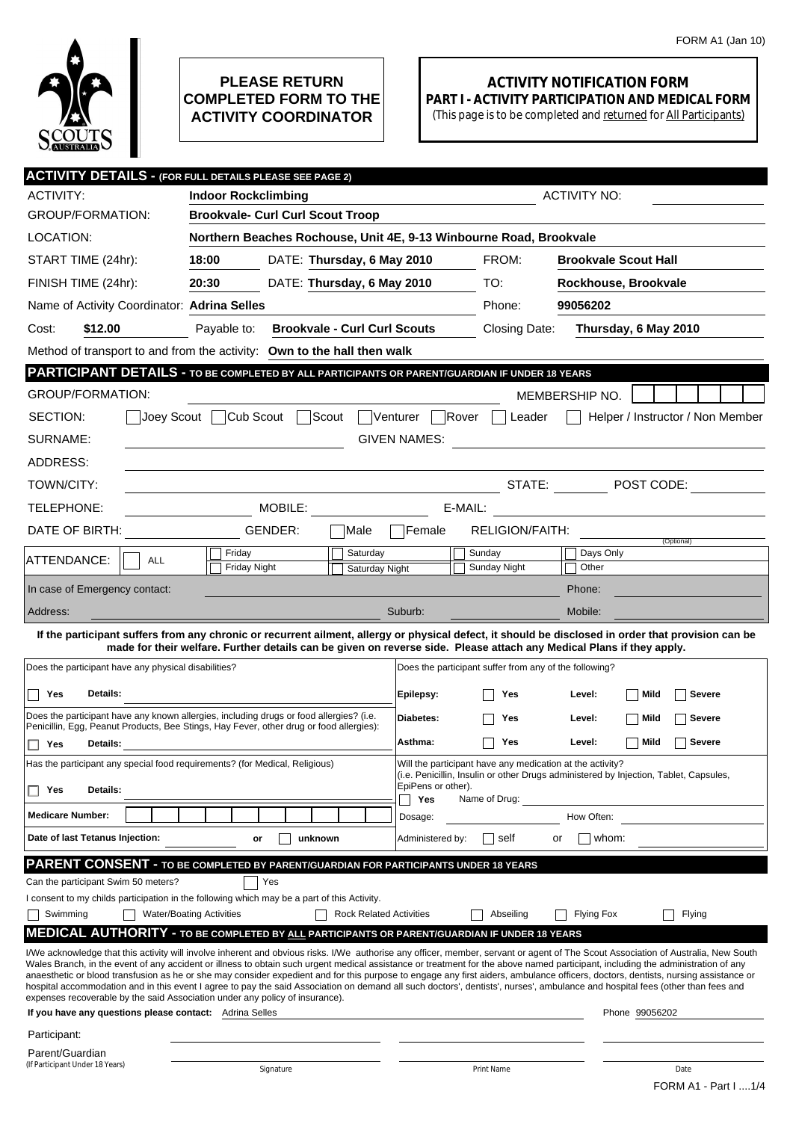

## **PLEASE RETURN COMPLETED FORM TO THE ACTIVITY COORDINATOR**

## **ACTIVITY NOTIFICATION FORM PART I - ACTIVITY PARTICIPATION AND MEDICAL FORM**

(This page is to be completed and returned for All Participants)

| <b>ACTIVITY DETAILS - (FOR FULL DETAILS PLEASE SEE PAGE 2)</b>                                                                                                                                                                                                                                                                                                                                                                                                                                                                                                                                                                                                                                                                                                                                                                 |                                                                                                                                            |                                     |                           |                                                        |                     |                                  |  |  |  |
|--------------------------------------------------------------------------------------------------------------------------------------------------------------------------------------------------------------------------------------------------------------------------------------------------------------------------------------------------------------------------------------------------------------------------------------------------------------------------------------------------------------------------------------------------------------------------------------------------------------------------------------------------------------------------------------------------------------------------------------------------------------------------------------------------------------------------------|--------------------------------------------------------------------------------------------------------------------------------------------|-------------------------------------|---------------------------|--------------------------------------------------------|---------------------|----------------------------------|--|--|--|
| <b>ACTIVITY:</b>                                                                                                                                                                                                                                                                                                                                                                                                                                                                                                                                                                                                                                                                                                                                                                                                               | <b>Indoor Rockclimbing</b>                                                                                                                 |                                     |                           |                                                        | <b>ACTIVITY NO:</b> |                                  |  |  |  |
| <b>GROUP/FORMATION:</b>                                                                                                                                                                                                                                                                                                                                                                                                                                                                                                                                                                                                                                                                                                                                                                                                        | <b>Brookvale- Curl Curl Scout Troop</b>                                                                                                    |                                     |                           |                                                        |                     |                                  |  |  |  |
| LOCATION:                                                                                                                                                                                                                                                                                                                                                                                                                                                                                                                                                                                                                                                                                                                                                                                                                      | Northern Beaches Rochouse, Unit 4E, 9-13 Winbourne Road, Brookvale                                                                         |                                     |                           |                                                        |                     |                                  |  |  |  |
| START TIME (24hr):                                                                                                                                                                                                                                                                                                                                                                                                                                                                                                                                                                                                                                                                                                                                                                                                             | 18:00<br>DATE: Thursday, 6 May 2010                                                                                                        |                                     |                           | FROM:                                                  |                     | <b>Brookvale Scout Hall</b>      |  |  |  |
| FINISH TIME (24hr):                                                                                                                                                                                                                                                                                                                                                                                                                                                                                                                                                                                                                                                                                                                                                                                                            | 20:30<br>DATE: Thursday, 6 May 2010                                                                                                        |                                     |                           | TO:                                                    |                     | Rockhouse, Brookvale             |  |  |  |
| Name of Activity Coordinator: Adrina Selles                                                                                                                                                                                                                                                                                                                                                                                                                                                                                                                                                                                                                                                                                                                                                                                    |                                                                                                                                            |                                     |                           | Phone:                                                 | 99056202            |                                  |  |  |  |
| \$12.00<br>Cost:                                                                                                                                                                                                                                                                                                                                                                                                                                                                                                                                                                                                                                                                                                                                                                                                               | Payable to:                                                                                                                                | <b>Brookvale - Curl Curl Scouts</b> |                           | Closing Date:                                          |                     | Thursday, 6 May 2010             |  |  |  |
| Method of transport to and from the activity: Own to the hall then walk                                                                                                                                                                                                                                                                                                                                                                                                                                                                                                                                                                                                                                                                                                                                                        |                                                                                                                                            |                                     |                           |                                                        |                     |                                  |  |  |  |
| <b>PARTICIPANT DETAILS - TO BE COMPLETED BY ALL PARTICIPANTS OR PARENT/GUARDIAN IF UNDER 18 YEARS</b>                                                                                                                                                                                                                                                                                                                                                                                                                                                                                                                                                                                                                                                                                                                          |                                                                                                                                            |                                     |                           |                                                        |                     |                                  |  |  |  |
| <b>GROUP/FORMATION:</b>                                                                                                                                                                                                                                                                                                                                                                                                                                                                                                                                                                                                                                                                                                                                                                                                        |                                                                                                                                            |                                     |                           |                                                        | MEMBERSHIP NO.      |                                  |  |  |  |
| Joey Scout Cub Scout Scout<br>Venturer Rover<br>SECTION:<br>Helper / Instructor / Non Member<br>Leader                                                                                                                                                                                                                                                                                                                                                                                                                                                                                                                                                                                                                                                                                                                         |                                                                                                                                            |                                     |                           |                                                        |                     |                                  |  |  |  |
| SURNAME:<br><b>GIVEN NAMES:</b>                                                                                                                                                                                                                                                                                                                                                                                                                                                                                                                                                                                                                                                                                                                                                                                                |                                                                                                                                            |                                     |                           |                                                        |                     |                                  |  |  |  |
| ADDRESS:                                                                                                                                                                                                                                                                                                                                                                                                                                                                                                                                                                                                                                                                                                                                                                                                                       |                                                                                                                                            |                                     |                           |                                                        |                     |                                  |  |  |  |
| TOWN/CITY:                                                                                                                                                                                                                                                                                                                                                                                                                                                                                                                                                                                                                                                                                                                                                                                                                     |                                                                                                                                            |                                     |                           |                                                        |                     | STATE: $\blacksquare$ POST CODE: |  |  |  |
| TELEPHONE:                                                                                                                                                                                                                                                                                                                                                                                                                                                                                                                                                                                                                                                                                                                                                                                                                     | MOBILE:<br>E-MAIL:<br><u> 1980 - Jan Barbara Barbara, prima popular popular popular popular popular popular popular popular popular po</u> |                                     |                           |                                                        |                     |                                  |  |  |  |
| DATE OF BIRTH:                                                                                                                                                                                                                                                                                                                                                                                                                                                                                                                                                                                                                                                                                                                                                                                                                 | GENDER:                                                                                                                                    | Male                                | Female                    | RELIGION/FAITH:                                        |                     |                                  |  |  |  |
|                                                                                                                                                                                                                                                                                                                                                                                                                                                                                                                                                                                                                                                                                                                                                                                                                                | Friday                                                                                                                                     | Saturday                            |                           | Sunday                                                 | Days Only           | (Optional)                       |  |  |  |
| ATTENDANCE:<br><b>ALL</b>                                                                                                                                                                                                                                                                                                                                                                                                                                                                                                                                                                                                                                                                                                                                                                                                      | Friday Night                                                                                                                               | <b>Saturday Night</b>               |                           | Sunday Night                                           | Other               |                                  |  |  |  |
| In case of Emergency contact:                                                                                                                                                                                                                                                                                                                                                                                                                                                                                                                                                                                                                                                                                                                                                                                                  |                                                                                                                                            |                                     |                           |                                                        | Phone:              |                                  |  |  |  |
| Address:                                                                                                                                                                                                                                                                                                                                                                                                                                                                                                                                                                                                                                                                                                                                                                                                                       |                                                                                                                                            |                                     | Suburb:                   |                                                        | Mobile:             |                                  |  |  |  |
| If the participant suffers from any chronic or recurrent ailment, allergy or physical defect, it should be disclosed in order that provision can be<br>made for their welfare. Further details can be given on reverse side. Please attach any Medical Plans if they apply.                                                                                                                                                                                                                                                                                                                                                                                                                                                                                                                                                    |                                                                                                                                            |                                     |                           |                                                        |                     |                                  |  |  |  |
| Does the participant have any physical disabilities?                                                                                                                                                                                                                                                                                                                                                                                                                                                                                                                                                                                                                                                                                                                                                                           |                                                                                                                                            |                                     |                           | Does the participant suffer from any of the following? |                     |                                  |  |  |  |
|                                                                                                                                                                                                                                                                                                                                                                                                                                                                                                                                                                                                                                                                                                                                                                                                                                |                                                                                                                                            |                                     |                           |                                                        |                     |                                  |  |  |  |
| Details:<br>Yes                                                                                                                                                                                                                                                                                                                                                                                                                                                                                                                                                                                                                                                                                                                                                                                                                |                                                                                                                                            |                                     | Epilepsy:                 | Yes                                                    | Level:              | Mild<br>Severe                   |  |  |  |
| Does the participant have any known allergies, including drugs or food allergies? (i.e.<br>Penicillin, Egg, Peanut Products, Bee Stings, Hay Fever, other drug or food allergies):                                                                                                                                                                                                                                                                                                                                                                                                                                                                                                                                                                                                                                             |                                                                                                                                            |                                     | Diabetes:                 | Yes                                                    | Level:              | Mild<br>Severe                   |  |  |  |
| Yes<br>Details:                                                                                                                                                                                                                                                                                                                                                                                                                                                                                                                                                                                                                                                                                                                                                                                                                |                                                                                                                                            |                                     | Asthma:                   | Yes                                                    | Level:              | Mild<br><b>Severe</b>            |  |  |  |
| Will the participant have any medication at the activity?<br>Has the participant any special food requirements? (for Medical, Religious)<br>(i.e. Penicillin, Insulin or other Drugs administered by Injection, Tablet, Capsules,                                                                                                                                                                                                                                                                                                                                                                                                                                                                                                                                                                                              |                                                                                                                                            |                                     |                           |                                                        |                     |                                  |  |  |  |
| <b>Details:</b><br>Yes                                                                                                                                                                                                                                                                                                                                                                                                                                                                                                                                                                                                                                                                                                                                                                                                         |                                                                                                                                            |                                     | EpiPens or other).<br>Yes | Name of Drug:                                          |                     |                                  |  |  |  |
| <b>Medicare Number:</b>                                                                                                                                                                                                                                                                                                                                                                                                                                                                                                                                                                                                                                                                                                                                                                                                        |                                                                                                                                            |                                     | Dosage:                   |                                                        | How Often:          |                                  |  |  |  |
| Date of last Tetanus Injection:                                                                                                                                                                                                                                                                                                                                                                                                                                                                                                                                                                                                                                                                                                                                                                                                | unknown<br>or                                                                                                                              |                                     | Administered by:          | self                                                   | or                  | whom:                            |  |  |  |
| <b>PARENT CONSENT - TO BE COMPLETED BY PARENT/GUARDIAN FOR PARTICIPANTS UNDER 18 YEARS</b>                                                                                                                                                                                                                                                                                                                                                                                                                                                                                                                                                                                                                                                                                                                                     |                                                                                                                                            |                                     |                           |                                                        |                     |                                  |  |  |  |
| Can the participant Swim 50 meters?                                                                                                                                                                                                                                                                                                                                                                                                                                                                                                                                                                                                                                                                                                                                                                                            | Yes                                                                                                                                        |                                     |                           |                                                        |                     |                                  |  |  |  |
| I consent to my childs participation in the following which may be a part of this Activity.                                                                                                                                                                                                                                                                                                                                                                                                                                                                                                                                                                                                                                                                                                                                    |                                                                                                                                            |                                     |                           |                                                        |                     |                                  |  |  |  |
| Swimming                                                                                                                                                                                                                                                                                                                                                                                                                                                                                                                                                                                                                                                                                                                                                                                                                       | <b>Water/Boating Activities</b>                                                                                                            | <b>Rock Related Activities</b>      |                           | Abseiling                                              | <b>Flying Fox</b>   | Flying                           |  |  |  |
| <b>MEDICAL AUTHORITY - TO BE COMPLETED BY ALL PARTICIPANTS OR PARENT/GUARDIAN IF UNDER 18 YEARS</b>                                                                                                                                                                                                                                                                                                                                                                                                                                                                                                                                                                                                                                                                                                                            |                                                                                                                                            |                                     |                           |                                                        |                     |                                  |  |  |  |
| I/We acknowledge that this activity will involve inherent and obvious risks. I/We authorise any officer, member, servant or agent of The Scout Association of Australia, New South<br>Wales Branch, in the event of any accident or illness to obtain such urgent medical assistance or treatment for the above named participant, including the administration of any<br>anaesthetic or blood transfusion as he or she may consider expedient and for this purpose to engage any first aiders, ambulance officers, doctors, dentists, nursing assistance or<br>hospital accommodation and in this event I agree to pay the said Association on demand all such doctors', dentists', nurses', ambulance and hospital fees (other than fees and<br>expenses recoverable by the said Association under any policy of insurance). |                                                                                                                                            |                                     |                           |                                                        |                     |                                  |  |  |  |
| If you have any questions please contact: Adrina Selles                                                                                                                                                                                                                                                                                                                                                                                                                                                                                                                                                                                                                                                                                                                                                                        |                                                                                                                                            |                                     |                           |                                                        |                     | Phone 99056202                   |  |  |  |
| Participant:                                                                                                                                                                                                                                                                                                                                                                                                                                                                                                                                                                                                                                                                                                                                                                                                                   |                                                                                                                                            |                                     |                           |                                                        |                     |                                  |  |  |  |
| Parent/Guardian<br>(If Participant Under 18 Years)                                                                                                                                                                                                                                                                                                                                                                                                                                                                                                                                                                                                                                                                                                                                                                             |                                                                                                                                            |                                     |                           |                                                        |                     |                                  |  |  |  |
|                                                                                                                                                                                                                                                                                                                                                                                                                                                                                                                                                                                                                                                                                                                                                                                                                                | Signature                                                                                                                                  |                                     |                           | Print Name                                             |                     | Date<br>FORM A1 - Part I  1/4    |  |  |  |